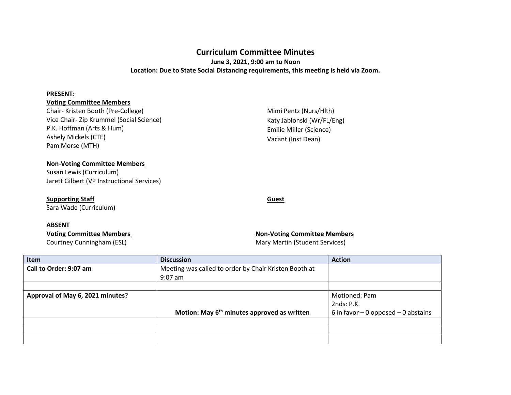## **Curriculum Committee Minutes**

**June 3, 2021, 9:00 am to Noon Location: Due to State Social Distancing requirements, this meeting is held via Zoom.**

#### **PRESENT:**

### **Voting Committee Members**

Chair- Kristen Booth (Pre-College) Vice Chair- Zip Krummel (Social Science) P.K. Hoffman (Arts & Hum) Ashely Mickels (CTE) Pam Morse (MTH)

### **Non-Voting Committee Members**

Susan Lewis (Curriculum) Jarett Gilbert (VP Instructional Services)

## **Supporting Staff**

Sara Wade (Curriculum)

#### **ABSENT**

Courtney Cunningham (ESL) Courtney Cunningham (ESL)

# Emilie Miller (Science) Vacant (Inst Dean)

Mimi Pentz (Nurs/Hlth) Katy Jablonski (Wr/FL/Eng)

**Guest**

# **Voting Committee Members Non-Voting Committee Members**

| Item                             | <b>Discussion</b>                                       | <b>Action</b>                         |
|----------------------------------|---------------------------------------------------------|---------------------------------------|
| Call to Order: 9:07 am           | Meeting was called to order by Chair Kristen Booth at   |                                       |
|                                  | $9:07$ am                                               |                                       |
|                                  |                                                         |                                       |
| Approval of May 6, 2021 minutes? |                                                         | Motioned: Pam                         |
|                                  |                                                         | 2nds: P.K.                            |
|                                  | Motion: May 6 <sup>th</sup> minutes approved as written | 6 in favor $-0$ opposed $-0$ abstains |
|                                  |                                                         |                                       |
|                                  |                                                         |                                       |
|                                  |                                                         |                                       |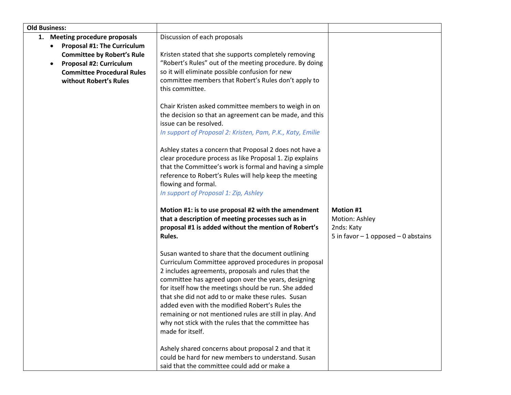| <b>Old Business:</b>               |                                                                                                   |                                       |
|------------------------------------|---------------------------------------------------------------------------------------------------|---------------------------------------|
| 1. Meeting procedure proposals     | Discussion of each proposals                                                                      |                                       |
| <b>Proposal #1: The Curriculum</b> |                                                                                                   |                                       |
| <b>Committee by Robert's Rule</b>  | Kristen stated that she supports completely removing                                              |                                       |
| <b>Proposal #2: Curriculum</b>     | "Robert's Rules" out of the meeting procedure. By doing                                           |                                       |
| <b>Committee Procedural Rules</b>  | so it will eliminate possible confusion for new                                                   |                                       |
| without Robert's Rules             | committee members that Robert's Rules don't apply to                                              |                                       |
|                                    | this committee.                                                                                   |                                       |
|                                    |                                                                                                   |                                       |
|                                    | Chair Kristen asked committee members to weigh in on                                              |                                       |
|                                    | the decision so that an agreement can be made, and this                                           |                                       |
|                                    | issue can be resolved.                                                                            |                                       |
|                                    | In support of Proposal 2: Kristen, Pam, P.K., Katy, Emilie                                        |                                       |
|                                    |                                                                                                   |                                       |
|                                    | Ashley states a concern that Proposal 2 does not have a                                           |                                       |
|                                    | clear procedure process as like Proposal 1. Zip explains                                          |                                       |
|                                    | that the Committee's work is formal and having a simple                                           |                                       |
|                                    | reference to Robert's Rules will help keep the meeting                                            |                                       |
|                                    | flowing and formal.                                                                               |                                       |
|                                    | In support of Proposal 1: Zip, Ashley                                                             |                                       |
|                                    |                                                                                                   |                                       |
|                                    | Motion #1: is to use proposal #2 with the amendment                                               | Motion #1                             |
|                                    | that a description of meeting processes such as in                                                | Motion: Ashley                        |
|                                    | proposal #1 is added without the mention of Robert's                                              | 2nds: Katy                            |
|                                    | Rules.                                                                                            | 5 in favor $-1$ opposed $-0$ abstains |
|                                    |                                                                                                   |                                       |
|                                    | Susan wanted to share that the document outlining                                                 |                                       |
|                                    | Curriculum Committee approved procedures in proposal                                              |                                       |
|                                    | 2 includes agreements, proposals and rules that the                                               |                                       |
|                                    | committee has agreed upon over the years, designing                                               |                                       |
|                                    | for itself how the meetings should be run. She added                                              |                                       |
|                                    | that she did not add to or make these rules. Susan                                                |                                       |
|                                    | added even with the modified Robert's Rules the                                                   |                                       |
|                                    | remaining or not mentioned rules are still in play. And                                           |                                       |
|                                    | why not stick with the rules that the committee has                                               |                                       |
|                                    | made for itself.                                                                                  |                                       |
|                                    | Ashely shared concerns about proposal 2 and that it                                               |                                       |
|                                    |                                                                                                   |                                       |
|                                    |                                                                                                   |                                       |
|                                    | could be hard for new members to understand. Susan<br>said that the committee could add or make a |                                       |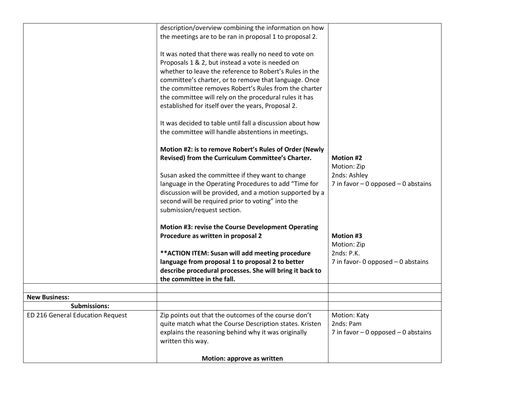|                                  | description/overview combining the information on how     |                                       |
|----------------------------------|-----------------------------------------------------------|---------------------------------------|
|                                  | the meetings are to be ran in proposal 1 to proposal 2.   |                                       |
|                                  |                                                           |                                       |
|                                  | It was noted that there was really no need to vote on     |                                       |
|                                  | Proposals 1 & 2, but instead a vote is needed on          |                                       |
|                                  | whether to leave the reference to Robert's Rules in the   |                                       |
|                                  | committee's charter, or to remove that language. Once     |                                       |
|                                  | the committee removes Robert's Rules from the charter     |                                       |
|                                  | the committee will rely on the procedural rules it has    |                                       |
|                                  | established for itself over the years, Proposal 2.        |                                       |
|                                  |                                                           |                                       |
|                                  | It was decided to table until fall a discussion about how |                                       |
|                                  | the committee will handle abstentions in meetings.        |                                       |
|                                  | Motion #2: is to remove Robert's Rules of Order (Newly    |                                       |
|                                  | Revised) from the Curriculum Committee's Charter.         | <b>Motion #2</b>                      |
|                                  |                                                           | Motion: Zip                           |
|                                  | Susan asked the committee if they want to change          | 2nds: Ashley                          |
|                                  | language in the Operating Procedures to add "Time for     | 7 in favor $-0$ opposed $-0$ abstains |
|                                  | discussion will be provided, and a motion supported by a  |                                       |
|                                  | second will be required prior to voting" into the         |                                       |
|                                  | submission/request section.                               |                                       |
|                                  |                                                           |                                       |
|                                  | Motion #3: revise the Course Development Operating        |                                       |
|                                  | Procedure as written in proposal 2                        | Motion #3                             |
|                                  |                                                           | Motion: Zip                           |
|                                  | ** ACTION ITEM: Susan will add meeting procedure          | 2nds: P.K.                            |
|                                  | language from proposal 1 to proposal 2 to better          | 7 in favor- 0 opposed $-$ 0 abstains  |
|                                  | describe procedural processes. She will bring it back to  |                                       |
|                                  | the committee in the fall.                                |                                       |
| <b>New Business:</b>             |                                                           |                                       |
| <b>Submissions:</b>              |                                                           |                                       |
| ED 216 General Education Request | Zip points out that the outcomes of the course don't      | Motion: Katy                          |
|                                  | quite match what the Course Description states. Kristen   | 2nds: Pam                             |
|                                  | explains the reasoning behind why it was originally       | 7 in favor $-0$ opposed $-0$ abstains |
|                                  | written this way.                                         |                                       |
|                                  |                                                           |                                       |
|                                  | Motion: approve as written                                |                                       |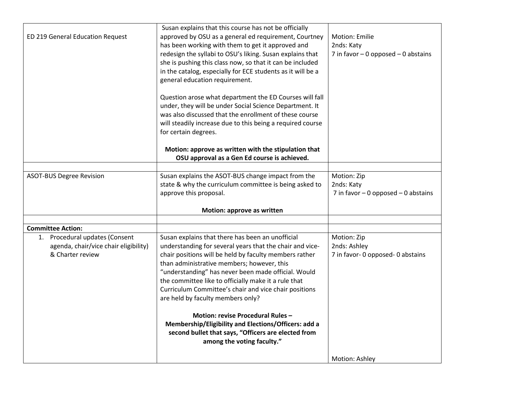| ED 219 General Education Request                                                               | Susan explains that this course has not be officially<br>approved by OSU as a general ed requirement, Courtney<br>has been working with them to get it approved and<br>redesign the syllabi to OSU's liking. Susan explains that<br>she is pushing this class now, so that it can be included<br>in the catalog, especially for ECE students as it will be a<br>general education requirement.<br>Question arose what department the ED Courses will fall<br>under, they will be under Social Science Department. It<br>was also discussed that the enrollment of these course<br>will steadily increase due to this being a required course<br>for certain degrees. | Motion: Emilie<br>2nds: Katy<br>7 in favor $-0$ opposed $-0$ abstains |
|------------------------------------------------------------------------------------------------|----------------------------------------------------------------------------------------------------------------------------------------------------------------------------------------------------------------------------------------------------------------------------------------------------------------------------------------------------------------------------------------------------------------------------------------------------------------------------------------------------------------------------------------------------------------------------------------------------------------------------------------------------------------------|-----------------------------------------------------------------------|
|                                                                                                | Motion: approve as written with the stipulation that                                                                                                                                                                                                                                                                                                                                                                                                                                                                                                                                                                                                                 |                                                                       |
|                                                                                                | OSU approval as a Gen Ed course is achieved.                                                                                                                                                                                                                                                                                                                                                                                                                                                                                                                                                                                                                         |                                                                       |
| <b>ASOT-BUS Degree Revision</b>                                                                | Susan explains the ASOT-BUS change impact from the<br>state & why the curriculum committee is being asked to<br>approve this proposal.                                                                                                                                                                                                                                                                                                                                                                                                                                                                                                                               | Motion: Zip<br>2nds: Katy<br>7 in favor $-0$ opposed $-0$ abstains    |
|                                                                                                | Motion: approve as written                                                                                                                                                                                                                                                                                                                                                                                                                                                                                                                                                                                                                                           |                                                                       |
| <b>Committee Action:</b>                                                                       |                                                                                                                                                                                                                                                                                                                                                                                                                                                                                                                                                                                                                                                                      |                                                                       |
| Procedural updates (Consent<br>1.<br>agenda, chair/vice chair eligibility)<br>& Charter review | Susan explains that there has been an unofficial<br>understanding for several years that the chair and vice-<br>chair positions will be held by faculty members rather<br>than administrative members; however, this<br>"understanding" has never been made official. Would<br>the committee like to officially make it a rule that<br>Curriculum Committee's chair and vice chair positions<br>are held by faculty members only?<br>Motion: revise Procedural Rules-<br>Membership/Eligibility and Elections/Officers: add a<br>second bullet that says, "Officers are elected from<br>among the voting faculty."                                                   | Motion: Zip<br>2nds: Ashley<br>7 in favor- 0 opposed- 0 abstains      |
|                                                                                                |                                                                                                                                                                                                                                                                                                                                                                                                                                                                                                                                                                                                                                                                      | Motion: Ashley                                                        |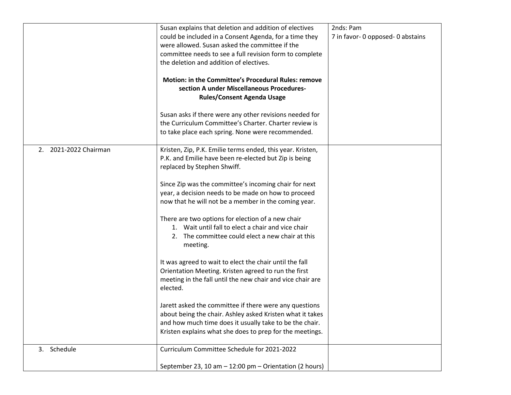|                       | Susan explains that deletion and addition of electives                                                                                                                                                                                     | 2nds: Pam                         |
|-----------------------|--------------------------------------------------------------------------------------------------------------------------------------------------------------------------------------------------------------------------------------------|-----------------------------------|
|                       | could be included in a Consent Agenda, for a time they<br>were allowed. Susan asked the committee if the<br>committee needs to see a full revision form to complete<br>the deletion and addition of electives.                             | 7 in favor- 0 opposed- 0 abstains |
|                       | Motion: in the Committee's Procedural Rules: remove<br>section A under Miscellaneous Procedures-<br><b>Rules/Consent Agenda Usage</b>                                                                                                      |                                   |
|                       | Susan asks if there were any other revisions needed for<br>the Curriculum Committee's Charter. Charter review is<br>to take place each spring. None were recommended.                                                                      |                                   |
| 2. 2021-2022 Chairman | Kristen, Zip, P.K. Emilie terms ended, this year. Kristen,<br>P.K. and Emilie have been re-elected but Zip is being<br>replaced by Stephen Shwiff.                                                                                         |                                   |
|                       | Since Zip was the committee's incoming chair for next<br>year, a decision needs to be made on how to proceed<br>now that he will not be a member in the coming year.                                                                       |                                   |
|                       | There are two options for election of a new chair<br>1. Wait until fall to elect a chair and vice chair<br>2. The committee could elect a new chair at this<br>meeting.                                                                    |                                   |
|                       | It was agreed to wait to elect the chair until the fall<br>Orientation Meeting. Kristen agreed to run the first<br>meeting in the fall until the new chair and vice chair are<br>elected.                                                  |                                   |
|                       | Jarett asked the committee if there were any questions<br>about being the chair. Ashley asked Kristen what it takes<br>and how much time does it usually take to be the chair.<br>Kristen explains what she does to prep for the meetings. |                                   |
| 3. Schedule           | Curriculum Committee Schedule for 2021-2022<br>September 23, 10 am - 12:00 pm - Orientation (2 hours)                                                                                                                                      |                                   |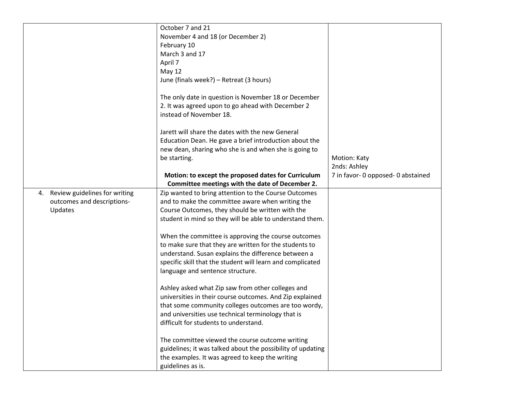|                                  | October 7 and 21                                            |                                    |
|----------------------------------|-------------------------------------------------------------|------------------------------------|
|                                  | November 4 and 18 (or December 2)                           |                                    |
|                                  | February 10                                                 |                                    |
|                                  | March 3 and 17                                              |                                    |
|                                  | April 7                                                     |                                    |
|                                  | May 12                                                      |                                    |
|                                  | June (finals week?) - Retreat (3 hours)                     |                                    |
|                                  |                                                             |                                    |
|                                  | The only date in question is November 18 or December        |                                    |
|                                  | 2. It was agreed upon to go ahead with December 2           |                                    |
|                                  | instead of November 18.                                     |                                    |
|                                  |                                                             |                                    |
|                                  | Jarett will share the dates with the new General            |                                    |
|                                  | Education Dean. He gave a brief introduction about the      |                                    |
|                                  | new dean, sharing who she is and when she is going to       |                                    |
|                                  | be starting.                                                | <b>Motion: Katy</b>                |
|                                  |                                                             | 2nds: Ashley                       |
|                                  | Motion: to except the proposed dates for Curriculum         | 7 in favor- 0 opposed- 0 abstained |
|                                  | Committee meetings with the date of December 2.             |                                    |
| 4. Review guidelines for writing | Zip wanted to bring attention to the Course Outcomes        |                                    |
| outcomes and descriptions-       | and to make the committee aware when writing the            |                                    |
| Updates                          | Course Outcomes, they should be written with the            |                                    |
|                                  | student in mind so they will be able to understand them.    |                                    |
|                                  |                                                             |                                    |
|                                  | When the committee is approving the course outcomes         |                                    |
|                                  | to make sure that they are written for the students to      |                                    |
|                                  | understand. Susan explains the difference between a         |                                    |
|                                  | specific skill that the student will learn and complicated  |                                    |
|                                  | language and sentence structure.                            |                                    |
|                                  |                                                             |                                    |
|                                  | Ashley asked what Zip saw from other colleges and           |                                    |
|                                  | universities in their course outcomes. And Zip explained    |                                    |
|                                  | that some community colleges outcomes are too wordy,        |                                    |
|                                  | and universities use technical terminology that is          |                                    |
|                                  | difficult for students to understand.                       |                                    |
|                                  |                                                             |                                    |
|                                  | The committee viewed the course outcome writing             |                                    |
|                                  | guidelines; it was talked about the possibility of updating |                                    |
|                                  | the examples. It was agreed to keep the writing             |                                    |
|                                  | guidelines as is.                                           |                                    |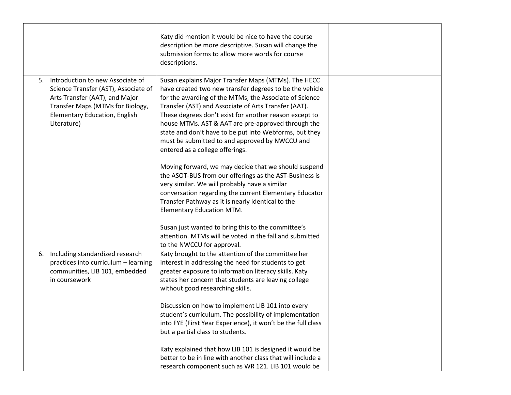|                                                                                                                                                                                                             | Katy did mention it would be nice to have the course<br>description be more descriptive. Susan will change the<br>submission forms to allow more words for course<br>descriptions.                                                                                                                                                                                                                                                                                                              |  |
|-------------------------------------------------------------------------------------------------------------------------------------------------------------------------------------------------------------|-------------------------------------------------------------------------------------------------------------------------------------------------------------------------------------------------------------------------------------------------------------------------------------------------------------------------------------------------------------------------------------------------------------------------------------------------------------------------------------------------|--|
| Introduction to new Associate of<br>5.<br>Science Transfer (AST), Associate of<br>Arts Transfer (AAT), and Major<br>Transfer Maps (MTMs for Biology,<br><b>Elementary Education, English</b><br>Literature) | Susan explains Major Transfer Maps (MTMs). The HECC<br>have created two new transfer degrees to be the vehicle<br>for the awarding of the MTMs, the Associate of Science<br>Transfer (AST) and Associate of Arts Transfer (AAT).<br>These degrees don't exist for another reason except to<br>house MTMs. AST & AAT are pre-approved through the<br>state and don't have to be put into Webforms, but they<br>must be submitted to and approved by NWCCU and<br>entered as a college offerings. |  |
|                                                                                                                                                                                                             | Moving forward, we may decide that we should suspend<br>the ASOT-BUS from our offerings as the AST-Business is<br>very similar. We will probably have a similar<br>conversation regarding the current Elementary Educator<br>Transfer Pathway as it is nearly identical to the<br><b>Elementary Education MTM.</b><br>Susan just wanted to bring this to the committee's<br>attention. MTMs will be voted in the fall and submitted                                                             |  |
|                                                                                                                                                                                                             | to the NWCCU for approval.                                                                                                                                                                                                                                                                                                                                                                                                                                                                      |  |
| Including standardized research<br>6.<br>practices into curriculum - learning<br>communities, LIB 101, embedded<br>in coursework                                                                            | Katy brought to the attention of the committee her<br>interest in addressing the need for students to get<br>greater exposure to information literacy skills. Katy<br>states her concern that students are leaving college<br>without good researching skills.                                                                                                                                                                                                                                  |  |
|                                                                                                                                                                                                             | Discussion on how to implement LIB 101 into every<br>student's curriculum. The possibility of implementation<br>into FYE (First Year Experience), it won't be the full class<br>but a partial class to students.                                                                                                                                                                                                                                                                                |  |
|                                                                                                                                                                                                             | Katy explained that how LIB 101 is designed it would be<br>better to be in line with another class that will include a<br>research component such as WR 121. LIB 101 would be                                                                                                                                                                                                                                                                                                                   |  |